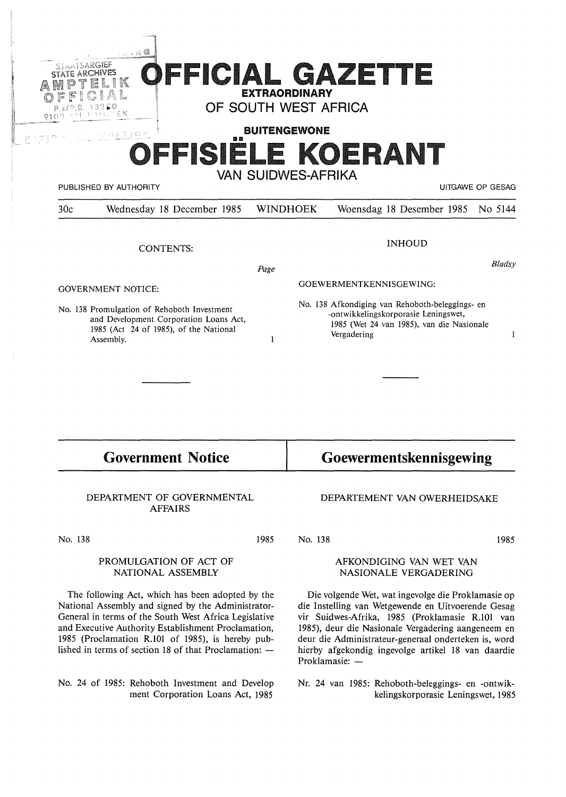|                                                                                                                                                          | <b>EXTRAORDINARY</b><br>OF SOUTH WEST AFRICA | $\ldots$ . N $@$<br>STAATSARGIEF<br>OFFICIAL GAZETTE<br>K                                                                                    |
|----------------------------------------------------------------------------------------------------------------------------------------------------------|----------------------------------------------|----------------------------------------------------------------------------------------------------------------------------------------------|
|                                                                                                                                                          | <b>BUITENGEWONE</b>                          | UCATION                                                                                                                                      |
| UITGAWE OP GESAG                                                                                                                                         | VAN SUIDWES-AFRIKA                           | OFFISIELE KOERANT<br>PUBLISHED BY AUTHORITY                                                                                                  |
| Woensdag 18 Desember 1985<br>No 5144                                                                                                                     | <b>WINDHOEK</b>                              | Wednesday 18 December 1985                                                                                                                   |
| <b>INHOUD</b>                                                                                                                                            |                                              |                                                                                                                                              |
|                                                                                                                                                          |                                              | <b>CONTENTS:</b>                                                                                                                             |
| <b>Bladsy</b>                                                                                                                                            | Page                                         |                                                                                                                                              |
| GOEWERMENTKENNISGEWING:                                                                                                                                  |                                              | <b>GOVERNMENT NOTICE:</b>                                                                                                                    |
| No. 138 Afkondiging van Rehoboth-beleggings- en<br>-ontwikkelingskorporasie Leningswet,<br>1985 (Wet 24 van 1985), van die Nasionale<br>Vergadering<br>1 | 1                                            | No. 138 Promulgation of Rehoboth Investment<br>and Development Corporation Loans Act,<br>1985 (Act 24 of 1985), of the National<br>Assembly. |

# **Government Notice**

#### DEPARTMENT OF GOVERNMENTAL AFFAIRS

No. 138

1985

#### PROMULGATION OF ACT OF NATIONAL ASSEMBLY

The following Act, which has been adopted by the National Assembly and signed by the Administrator-General in terms of the South West Africa Legislative and Executive Authority Establishment Proclamation, 1985 (Proclamation R.101 of 1985), is hereby published in terms of section 18 of that Proclamation:  $-$ 

No. 24 of 1985: Rehoboth Investment and Develop ment Corporation Loans Act, 1985

# **Goewermentskennisgewing**

#### DEPARTEMENT VAN OWERHEIDSAKE

No. 138

1985

#### AFKONDIGING VAN WET VAN NASIONALE VERGADERING

Die volgende Wet, wat ingevolge die Proklamasie op die Instelling van Wetgewende en Uitvoerende Gesag vir Suidwes-Afrika, 1985 (Proklamasie R.101 van 1985), deur die Nasionale Vergadering aangeneem en deur die Administrateur-generaal onderteken is, word hierby afgekondig ingevolge artikel 18 van daardie Proklamasie: -

Nr. 24 van 1985: Rehoboth-beleggings- en -ontwikkelingskorporasie Leningswet, l 985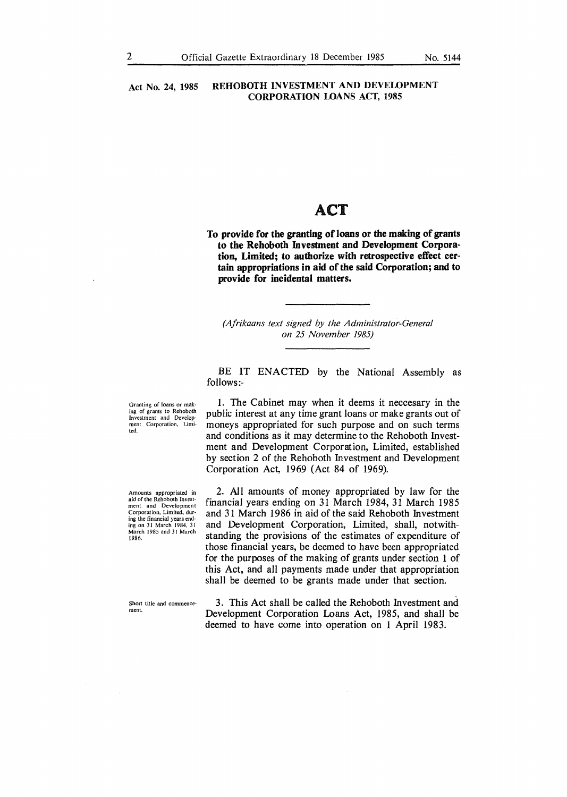### Act No. 24, 1985 REHOBOTH INVESTMENT AND DEVELOPMENT **CORPORATION LOANS ACT, 1985**

## ACT

**To provide for the granting of loans or the making of grants to the Rehoboth Investment and Development Corporation, Limited; to authorize with retrospective effect certain appropriations in aid of the said Corporation; and to provide for incidental matters.** 

*(Afrikaans text signed by the Administrator-General on 25 November 1985)* 

BE IT ENACTED by the National Assembly as follows:-

Granting of loans or mak· ing of grants to Rehoboth Investment and Development Corporation, Limited.

Amounts appropriated in aid of the Rehoboth Invest· ment and Development Corporation. Limited, during the financial years end-ing on 3 I March I 984. 31 March 1985 and 31 March 1986.

Short title and commencement.

1. The Cabinet may when it deems it neccesary in the public interest at any time grant loans or make grants out of moneys appropriated for such purpose and on such terms and conditions as it may determine to the Rehoboth Investment and Development Corporation, Limited, established by section 2 of the Rehoboth Investment and Development Corporation Act, 1969 (Act 84 of 1969).

2. All amounts of money appropriated by law for the financial years ending on 31 March 1984, 31 March 1985 and 31 March 1986 in aid of the said Rehoboth Investment and Development Corporation, Limited, shall, notwithstanding the provisions of the estimates of expenditure of those financial years, be deemed to have been appropriated for the purposes of the making of grants under section 1 of this Act, and all payments made under that appropriation shall be deemed to be grants made under that section.

3. This Act shall be called the Rehoboth Investment and Development Corporation Loans Act, 1985, and shall be deemed to have come into operation on 1 April 1983.